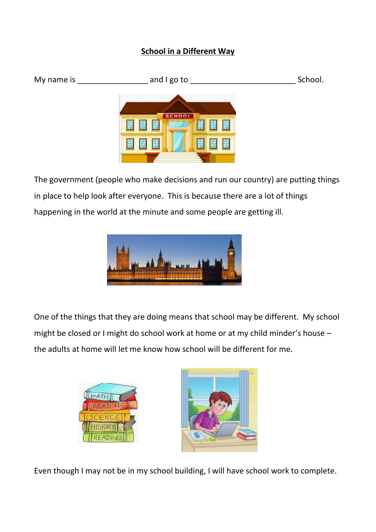## **School in a Different Way**

| My name is | and I go to   | School. |
|------------|---------------|---------|
|            |               |         |
|            | <b>SCHOOL</b> |         |
|            |               |         |
|            |               |         |

The government (people who make decisions and run our country) are putting things in place to help look after everyone. This is because there are a lot of things happening in the world at the minute and some people are getting ill.



One of the things that they are doing means that school may be different. My school might be closed or I might do school work at home or at my child minder's house – the adults at home will let me know how school will be different for me.





Even though I may not be in my school building, I will have school work to complete.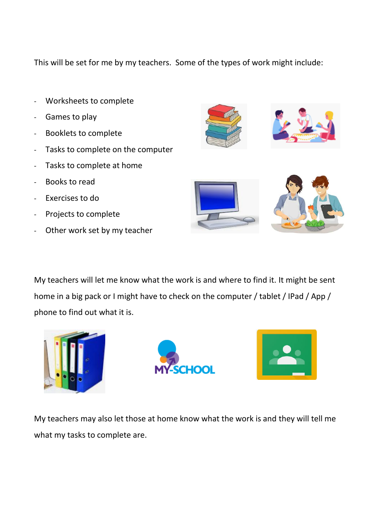This will be set for me by my teachers. Some of the types of work might include:

- Worksheets to complete
- Games to play
- Booklets to complete
- Tasks to complete on the computer
- Tasks to complete at home
- Books to read
- Exercises to do
- Projects to complete
- Other work set by my teacher





My teachers will let me know what the work is and where to find it. It might be sent home in a big pack or I might have to check on the computer / tablet / IPad / App / phone to find out what it is.







My teachers may also let those at home know what the work is and they will tell me what my tasks to complete are.